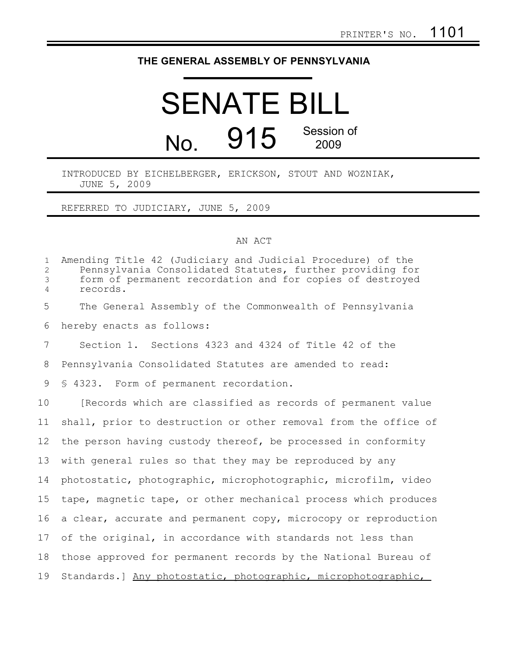## **THE GENERAL ASSEMBLY OF PENNSYLVANIA**

# SENATE BILL No. 915 Session of 2009

### INTRODUCED BY EICHELBERGER, ERICKSON, STOUT AND WOZNIAK, JUNE 5, 2009

#### REFERRED TO JUDICIARY, JUNE 5, 2009

#### AN ACT

| $\mathbf{1}$<br>$\overline{2}$<br>3<br>$\overline{4}$ | Amending Title 42 (Judiciary and Judicial Procedure) of the<br>Pennsylvania Consolidated Statutes, further providing for<br>form of permanent recordation and for copies of destroyed<br>records. |
|-------------------------------------------------------|---------------------------------------------------------------------------------------------------------------------------------------------------------------------------------------------------|
| 5                                                     | The General Assembly of the Commonwealth of Pennsylvania                                                                                                                                          |
| 6                                                     | hereby enacts as follows:                                                                                                                                                                         |
| 7                                                     | Section 1. Sections 4323 and 4324 of Title 42 of the                                                                                                                                              |
| 8                                                     | Pennsylvania Consolidated Statutes are amended to read:                                                                                                                                           |
| 9                                                     | § 4323. Form of permanent recordation.                                                                                                                                                            |
| 10                                                    | [Records which are classified as records of permanent value                                                                                                                                       |
| 11                                                    | shall, prior to destruction or other removal from the office of                                                                                                                                   |
| 12                                                    | the person having custody thereof, be processed in conformity                                                                                                                                     |
| 13                                                    | with general rules so that they may be reproduced by any                                                                                                                                          |
| 14                                                    | photostatic, photographic, microphotographic, microfilm, video                                                                                                                                    |
| 15                                                    | tape, magnetic tape, or other mechanical process which produces                                                                                                                                   |
| 16                                                    | a clear, accurate and permanent copy, microcopy or reproduction                                                                                                                                   |
| 17                                                    | of the original, in accordance with standards not less than                                                                                                                                       |
| 18                                                    | those approved for permanent records by the National Bureau of                                                                                                                                    |
| 19                                                    | Standards.] Any photostatic, photographic, microphotographic,                                                                                                                                     |